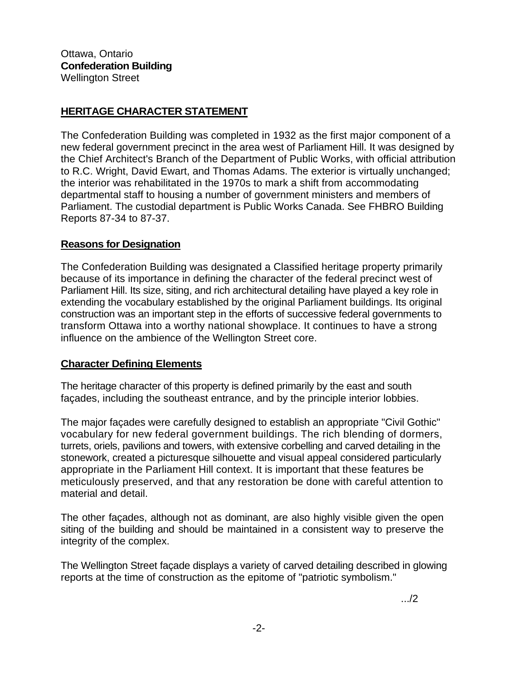## **HERITAGE CHARACTER STATEMENT**

The Confederation Building was completed in 1932 as the first major component of a new federal government precinct in the area west of Parliament Hill. It was designed by the Chief Architect's Branch of the Department of Public Works, with official attribution to R.C. Wright, David Ewart, and Thomas Adams. The exterior is virtually unchanged; the interior was rehabilitated in the 1970s to mark a shift from accommodating departmental staff to housing a number of government ministers and members of Parliament. The custodial department is Public Works Canada. See FHBRO Building Reports 87-34 to 87-37.

## **Reasons for Designation**

The Confederation Building was designated a Classified heritage property primarily because of its importance in defining the character of the federal precinct west of Parliament Hill. Its size, siting, and rich architectural detailing have played a key role in extending the vocabulary established by the original Parliament buildings. Its original construction was an important step in the efforts of successive federal governments to transform Ottawa into a worthy national showplace. It continues to have a strong influence on the ambience of the Wellington Street core.

## **Character Defining Elements**

The heritage character of this property is defined primarily by the east and south façades, including the southeast entrance, and by the principle interior lobbies.

The major façades were carefully designed to establish an appropriate "Civil Gothic" vocabulary for new federal government buildings. The rich blending of dormers, turrets, oriels, pavilions and towers, with extensive corbelling and carved detailing in the stonework, created a picturesque silhouette and visual appeal considered particularly appropriate in the Parliament Hill context. It is important that these features be meticulously preserved, and that any restoration be done with careful attention to material and detail.

The other façades, although not as dominant, are also highly visible given the open siting of the building and should be maintained in a consistent way to preserve the integrity of the complex.

The Wellington Street façade displays a variety of carved detailing described in glowing reports at the time of construction as the epitome of "patriotic symbolism."

.../2